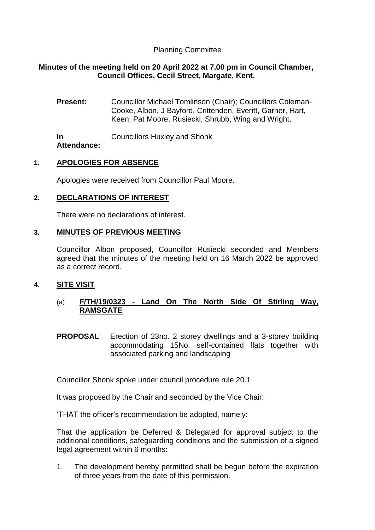# Planning Committee

## **Minutes of the meeting held on 20 April 2022 at 7.00 pm in Council Chamber, Council Offices, Cecil Street, Margate, Kent.**

**Present:** Councillor Michael Tomlinson (Chair); Councillors Coleman-Cooke, Albon, J Bayford, Crittenden, Everitt, Garner, Hart, Keen, Pat Moore, Rusiecki, Shrubb, Wing and Wright.

**In Attendance:** Councillors Huxley and Shonk

## **1. APOLOGIES FOR ABSENCE**

Apologies were received from Councillor Paul Moore.

# **2. DECLARATIONS OF INTEREST**

There were no declarations of interest.

## **3. MINUTES OF PREVIOUS MEETING**

Councillor Albon proposed, Councillor Rusiecki seconded and Members agreed that the minutes of the meeting held on 16 March 2022 be approved as a correct record.

## **4. SITE VISIT**

# (a) **F/TH/19/0323 - Land On The North Side Of Stirling Way, RAMSGATE**

**PROPOSAL**: Erection of 23no. 2 storey dwellings and a 3-storey building accommodating 15No. self-contained flats together with associated parking and landscaping

Councillor Shonk spoke under council procedure rule 20.1

It was proposed by the Chair and seconded by the Vice Chair:

'THAT the officer's recommendation be adopted, namely:

That the application be Deferred & Delegated for approval subject to the additional conditions, safeguarding conditions and the submission of a signed legal agreement within 6 months:

1. The development hereby permitted shall be begun before the expiration of three years from the date of this permission.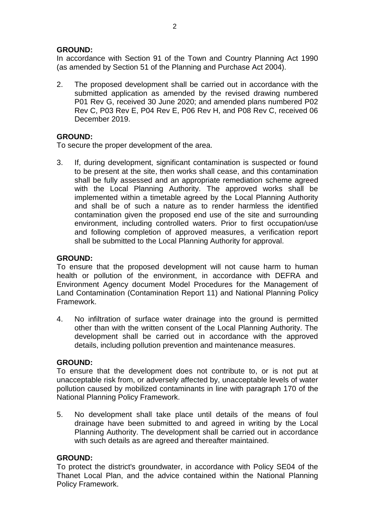## **GROUND:**

In accordance with Section 91 of the Town and Country Planning Act 1990 (as amended by Section 51 of the Planning and Purchase Act 2004).

2. The proposed development shall be carried out in accordance with the submitted application as amended by the revised drawing numbered P01 Rev G, received 30 June 2020; and amended plans numbered P02 Rev C, P03 Rev E, P04 Rev E, P06 Rev H, and P08 Rev C, received 06 December 2019.

# **GROUND:**

To secure the proper development of the area.

3. If, during development, significant contamination is suspected or found to be present at the site, then works shall cease, and this contamination shall be fully assessed and an appropriate remediation scheme agreed with the Local Planning Authority. The approved works shall be implemented within a timetable agreed by the Local Planning Authority and shall be of such a nature as to render harmless the identified contamination given the proposed end use of the site and surrounding environment, including controlled waters. Prior to first occupation/use and following completion of approved measures, a verification report shall be submitted to the Local Planning Authority for approval.

## **GROUND:**

To ensure that the proposed development will not cause harm to human health or pollution of the environment, in accordance with DEFRA and Environment Agency document Model Procedures for the Management of Land Contamination (Contamination Report 11) and National Planning Policy Framework.

4. No infiltration of surface water drainage into the ground is permitted other than with the written consent of the Local Planning Authority. The development shall be carried out in accordance with the approved details, including pollution prevention and maintenance measures.

## **GROUND:**

To ensure that the development does not contribute to, or is not put at unacceptable risk from, or adversely affected by, unacceptable levels of water pollution caused by mobilized contaminants in line with paragraph 170 of the National Planning Policy Framework.

5. No development shall take place until details of the means of foul drainage have been submitted to and agreed in writing by the Local Planning Authority. The development shall be carried out in accordance with such details as are agreed and thereafter maintained.

## **GROUND:**

To protect the district's groundwater, in accordance with Policy SE04 of the Thanet Local Plan, and the advice contained within the National Planning Policy Framework.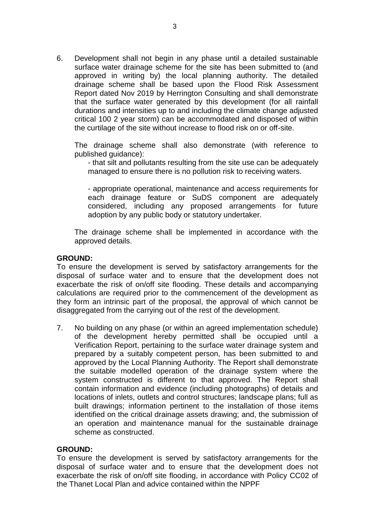6. Development shall not begin in any phase until a detailed sustainable surface water drainage scheme for the site has been submitted to (and approved in writing by) the local planning authority. The detailed drainage scheme shall be based upon the Flood Risk Assessment Report dated Nov 2019 by Herrington Consulting and shall demonstrate that the surface water generated by this development (for all rainfall durations and intensities up to and including the climate change adjusted critical 100 2 year storm) can be accommodated and disposed of within the curtilage of the site without increase to flood risk on or off-site.

The drainage scheme shall also demonstrate (with reference to published guidance):

- that silt and pollutants resulting from the site use can be adequately managed to ensure there is no pollution risk to receiving waters.

- appropriate operational, maintenance and access requirements for each drainage feature or SuDS component are adequately considered, including any proposed arrangements for future adoption by any public body or statutory undertaker.

The drainage scheme shall be implemented in accordance with the approved details.

#### **GROUND:**

To ensure the development is served by satisfactory arrangements for the disposal of surface water and to ensure that the development does not exacerbate the risk of on/off site flooding. These details and accompanying calculations are required prior to the commencement of the development as they form an intrinsic part of the proposal, the approval of which cannot be disaggregated from the carrying out of the rest of the development.

7. No building on any phase (or within an agreed implementation schedule) of the development hereby permitted shall be occupied until a Verification Report, pertaining to the surface water drainage system and prepared by a suitably competent person, has been submitted to and approved by the Local Planning Authority. The Report shall demonstrate the suitable modelled operation of the drainage system where the system constructed is different to that approved. The Report shall contain information and evidence (including photographs) of details and locations of inlets, outlets and control structures; landscape plans; full as built drawings; information pertinent to the installation of those items identified on the critical drainage assets drawing; and, the submission of an operation and maintenance manual for the sustainable drainage scheme as constructed.

#### **GROUND:**

To ensure the development is served by satisfactory arrangements for the disposal of surface water and to ensure that the development does not exacerbate the risk of on/off site flooding, in accordance with Policy CC02 of the Thanet Local Plan and advice contained within the NPPF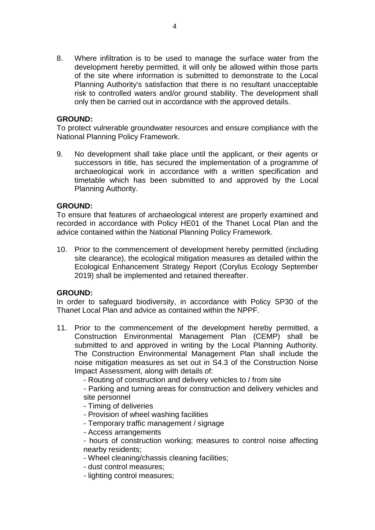8. Where infiltration is to be used to manage the surface water from the development hereby permitted, it will only be allowed within those parts of the site where information is submitted to demonstrate to the Local Planning Authority's satisfaction that there is no resultant unacceptable risk to controlled waters and/or ground stability. The development shall only then be carried out in accordance with the approved details.

## **GROUND:**

To protect vulnerable groundwater resources and ensure compliance with the National Planning Policy Framework.

9. No development shall take place until the applicant, or their agents or successors in title, has secured the implementation of a programme of archaeological work in accordance with a written specification and timetable which has been submitted to and approved by the Local Planning Authority.

## **GROUND:**

To ensure that features of archaeological interest are properly examined and recorded in accordance with Policy HE01 of the Thanet Local Plan and the advice contained within the National Planning Policy Framework.

10. Prior to the commencement of development hereby permitted (including site clearance), the ecological mitigation measures as detailed within the Ecological Enhancement Strategy Report (Corylus Ecology September 2019) shall be implemented and retained thereafter.

### **GROUND:**

In order to safeguard biodiversity, in accordance with Policy SP30 of the Thanet Local Plan and advice as contained within the NPPF.

11. Prior to the commencement of the development hereby permitted, a Construction Environmental Management Plan (CEMP) shall be submitted to and approved in writing by the Local Planning Authority. The Construction Environmental Management Plan shall include the noise mitigation measures as set out in S4.3 of the Construction Noise Impact Assessment, along with details of:

- Routing of construction and delivery vehicles to / from site

- Parking and turning areas for construction and delivery vehicles and site personnel

- Timing of deliveries
- Provision of wheel washing facilities
- Temporary traffic management / signage
- Access arrangements
- hours of construction working; measures to control noise affecting nearby residents;
- Wheel cleaning/chassis cleaning facilities;
- dust control measures;
- lighting control measures;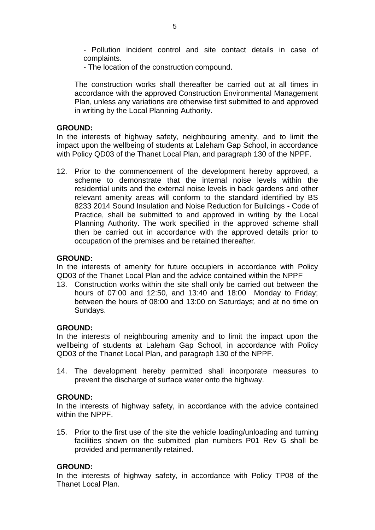- Pollution incident control and site contact details in case of complaints.

- The location of the construction compound.

The construction works shall thereafter be carried out at all times in accordance with the approved Construction Environmental Management Plan, unless any variations are otherwise first submitted to and approved in writing by the Local Planning Authority.

### **GROUND:**

In the interests of highway safety, neighbouring amenity, and to limit the impact upon the wellbeing of students at Laleham Gap School, in accordance with Policy QD03 of the Thanet Local Plan, and paragraph 130 of the NPPF.

12. Prior to the commencement of the development hereby approved, a scheme to demonstrate that the internal noise levels within the residential units and the external noise levels in back gardens and other relevant amenity areas will conform to the standard identified by BS 8233 2014 Sound Insulation and Noise Reduction for Buildings - Code of Practice, shall be submitted to and approved in writing by the Local Planning Authority. The work specified in the approved scheme shall then be carried out in accordance with the approved details prior to occupation of the premises and be retained thereafter.

### **GROUND:**

In the interests of amenity for future occupiers in accordance with Policy QD03 of the Thanet Local Plan and the advice contained within the NPPF

13. Construction works within the site shall only be carried out between the hours of 07:00 and 12:50, and 13:40 and 18:00 Monday to Friday; between the hours of 08:00 and 13:00 on Saturdays; and at no time on Sundays.

### **GROUND:**

In the interests of neighbouring amenity and to limit the impact upon the wellbeing of students at Laleham Gap School, in accordance with Policy QD03 of the Thanet Local Plan, and paragraph 130 of the NPPF.

14. The development hereby permitted shall incorporate measures to prevent the discharge of surface water onto the highway.

### **GROUND:**

In the interests of highway safety, in accordance with the advice contained within the NPPF.

15. Prior to the first use of the site the vehicle loading/unloading and turning facilities shown on the submitted plan numbers P01 Rev G shall be provided and permanently retained.

#### **GROUND:**

In the interests of highway safety, in accordance with Policy TP08 of the Thanet Local Plan.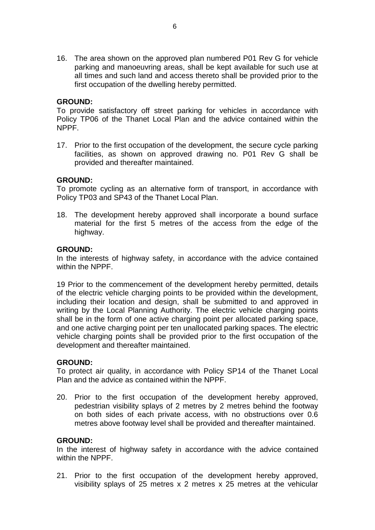16. The area shown on the approved plan numbered P01 Rev G for vehicle parking and manoeuvring areas, shall be kept available for such use at all times and such land and access thereto shall be provided prior to the first occupation of the dwelling hereby permitted.

### **GROUND:**

To provide satisfactory off street parking for vehicles in accordance with Policy TP06 of the Thanet Local Plan and the advice contained within the NPPF.

17. Prior to the first occupation of the development, the secure cycle parking facilities, as shown on approved drawing no. P01 Rev G shall be provided and thereafter maintained.

## **GROUND:**

To promote cycling as an alternative form of transport, in accordance with Policy TP03 and SP43 of the Thanet Local Plan.

18. The development hereby approved shall incorporate a bound surface material for the first 5 metres of the access from the edge of the highway.

## **GROUND:**

In the interests of highway safety, in accordance with the advice contained within the NPPF.

19 Prior to the commencement of the development hereby permitted, details of the electric vehicle charging points to be provided within the development, including their location and design, shall be submitted to and approved in writing by the Local Planning Authority. The electric vehicle charging points shall be in the form of one active charging point per allocated parking space, and one active charging point per ten unallocated parking spaces. The electric vehicle charging points shall be provided prior to the first occupation of the development and thereafter maintained.

### **GROUND:**

To protect air quality, in accordance with Policy SP14 of the Thanet Local Plan and the advice as contained within the NPPF.

20. Prior to the first occupation of the development hereby approved, pedestrian visibility splays of 2 metres by 2 metres behind the footway on both sides of each private access, with no obstructions over 0.6 metres above footway level shall be provided and thereafter maintained.

### **GROUND:**

In the interest of highway safety in accordance with the advice contained within the NPPF.

21. Prior to the first occupation of the development hereby approved, visibility splays of 25 metres x 2 metres x 25 metres at the vehicular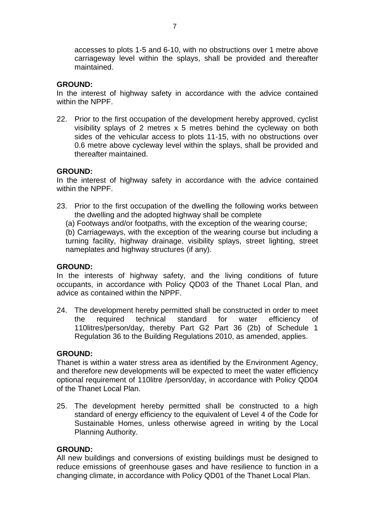accesses to plots 1-5 and 6-10, with no obstructions over 1 metre above carriageway level within the splays, shall be provided and thereafter maintained.

## **GROUND:**

In the interest of highway safety in accordance with the advice contained within the NPPF.

22. Prior to the first occupation of the development hereby approved, cyclist visibility splays of 2 metres x 5 metres behind the cycleway on both sides of the vehicular access to plots 11-15, with no obstructions over 0.6 metre above cycleway level within the splays, shall be provided and thereafter maintained.

## **GROUND:**

In the interest of highway safety in accordance with the advice contained within the NPPF.

- 23. Prior to the first occupation of the dwelling the following works between the dwelling and the adopted highway shall be complete
	- (a) Footways and/or footpaths, with the exception of the wearing course;

(b) Carriageways, with the exception of the wearing course but including a turning facility, highway drainage, visibility splays, street lighting, street nameplates and highway structures (if any).

### **GROUND:**

In the interests of highway safety, and the living conditions of future occupants, in accordance with Policy QD03 of the Thanet Local Plan, and advice as contained within the NPPF.

24. The development hereby permitted shall be constructed in order to meet the required technical standard for water efficiency of 110litres/person/day, thereby Part G2 Part 36 (2b) of Schedule 1 Regulation 36 to the Building Regulations 2010, as amended, applies.

### **GROUND:**

Thanet is within a water stress area as identified by the Environment Agency, and therefore new developments will be expected to meet the water efficiency optional requirement of 110litre /person/day, in accordance with Policy QD04 of the Thanet Local Plan.

25. The development hereby permitted shall be constructed to a high standard of energy efficiency to the equivalent of Level 4 of the Code for Sustainable Homes, unless otherwise agreed in writing by the Local Planning Authority.

### **GROUND:**

All new buildings and conversions of existing buildings must be designed to reduce emissions of greenhouse gases and have resilience to function in a changing climate, in accordance with Policy QD01 of the Thanet Local Plan.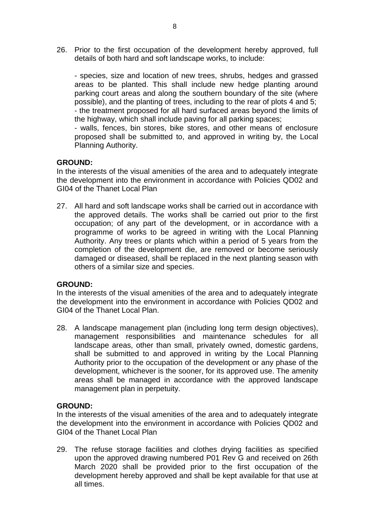26. Prior to the first occupation of the development hereby approved, full details of both hard and soft landscape works, to include:

- species, size and location of new trees, shrubs, hedges and grassed areas to be planted. This shall include new hedge planting around parking court areas and along the southern boundary of the site (where possible), and the planting of trees, including to the rear of plots 4 and 5; - the treatment proposed for all hard surfaced areas beyond the limits of the highway, which shall include paving for all parking spaces;

- walls, fences, bin stores, bike stores, and other means of enclosure proposed shall be submitted to, and approved in writing by, the Local Planning Authority.

## **GROUND:**

In the interests of the visual amenities of the area and to adequately integrate the development into the environment in accordance with Policies QD02 and GI04 of the Thanet Local Plan

27. All hard and soft landscape works shall be carried out in accordance with the approved details. The works shall be carried out prior to the first occupation; of any part of the development, or in accordance with a programme of works to be agreed in writing with the Local Planning Authority. Any trees or plants which within a period of 5 years from the completion of the development die, are removed or become seriously damaged or diseased, shall be replaced in the next planting season with others of a similar size and species.

## **GROUND:**

In the interests of the visual amenities of the area and to adequately integrate the development into the environment in accordance with Policies QD02 and GI04 of the Thanet Local Plan.

28. A landscape management plan (including long term design objectives), management responsibilities and maintenance schedules for all landscape areas, other than small, privately owned, domestic gardens, shall be submitted to and approved in writing by the Local Planning Authority prior to the occupation of the development or any phase of the development, whichever is the sooner, for its approved use. The amenity areas shall be managed in accordance with the approved landscape management plan in perpetuity.

### **GROUND:**

In the interests of the visual amenities of the area and to adequately integrate the development into the environment in accordance with Policies QD02 and GI04 of the Thanet Local Plan

29. The refuse storage facilities and clothes drying facilities as specified upon the approved drawing numbered P01 Rev G and received on 26th March 2020 shall be provided prior to the first occupation of the development hereby approved and shall be kept available for that use at all times.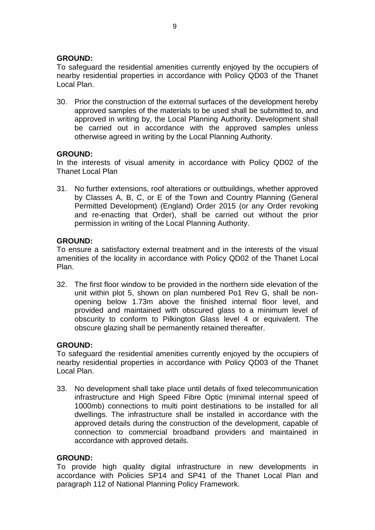## **GROUND:**

To safeguard the residential amenities currently enjoyed by the occupiers of nearby residential properties in accordance with Policy QD03 of the Thanet Local Plan.

30. Prior the construction of the external surfaces of the development hereby approved samples of the materials to be used shall be submitted to, and approved in writing by, the Local Planning Authority. Development shall be carried out in accordance with the approved samples unless otherwise agreed in writing by the Local Planning Authority.

## **GROUND:**

In the interests of visual amenity in accordance with Policy QD02 of the Thanet Local Plan

31. No further extensions, roof alterations or outbuildings, whether approved by Classes A, B, C, or E of the Town and Country Planning (General Permitted Development) (England) Order 2015 (or any Order revoking and re-enacting that Order), shall be carried out without the prior permission in writing of the Local Planning Authority.

## **GROUND:**

To ensure a satisfactory external treatment and in the interests of the visual amenities of the locality in accordance with Policy QD02 of the Thanet Local Plan.

32. The first floor window to be provided in the northern side elevation of the unit within plot 5, shown on plan numbered Po1 Rev G, shall be nonopening below 1.73m above the finished internal floor level, and provided and maintained with obscured glass to a minimum level of obscurity to conform to Pilkington Glass level 4 or equivalent. The obscure glazing shall be permanently retained thereafter.

### **GROUND:**

To safeguard the residential amenities currently enjoyed by the occupiers of nearby residential properties in accordance with Policy QD03 of the Thanet Local Plan.

33. No development shall take place until details of fixed telecommunication infrastructure and High Speed Fibre Optic (minimal internal speed of 1000mb) connections to multi point destinations to be installed for all dwellings. The infrastructure shall be installed in accordance with the approved details during the construction of the development, capable of connection to commercial broadband providers and maintained in accordance with approved details.

### **GROUND:**

To provide high quality digital infrastructure in new developments in accordance with Policies SP14 and SP41 of the Thanet Local Plan and paragraph 112 of National Planning Policy Framework.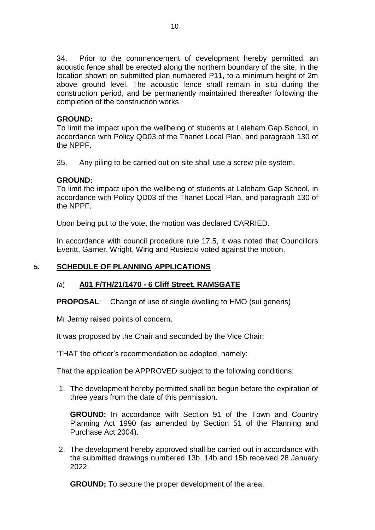34. Prior to the commencement of development hereby permitted, an acoustic fence shall be erected along the northern boundary of the site, in the location shown on submitted plan numbered P11, to a minimum height of 2m above ground level. The acoustic fence shall remain in situ during the construction period, and be permanently maintained thereafter following the completion of the construction works.

## **GROUND:**

To limit the impact upon the wellbeing of students at Laleham Gap School, in accordance with Policy QD03 of the Thanet Local Plan, and paragraph 130 of the NPPF.

35. Any piling to be carried out on site shall use a screw pile system.

## **GROUND:**

To limit the impact upon the wellbeing of students at Laleham Gap School, in accordance with Policy QD03 of the Thanet Local Plan, and paragraph 130 of the NPPF.

Upon being put to the vote, the motion was declared CARRIED.

In accordance with council procedure rule 17.5, it was noted that Councillors Everitt, Garner, Wright, Wing and Rusiecki voted against the motion.

# **5. SCHEDULE OF PLANNING APPLICATIONS**

## (a) **A01 F/TH/21/1470 - 6 Cliff Street, RAMSGATE**

**PROPOSAL**: Change of use of single dwelling to HMO (sui generis)

Mr Jermy raised points of concern.

It was proposed by the Chair and seconded by the Vice Chair:

'THAT the officer's recommendation be adopted, namely:

That the application be APPROVED subject to the following conditions:

1. The development hereby permitted shall be begun before the expiration of three years from the date of this permission.

**GROUND:** In accordance with Section 91 of the Town and Country Planning Act 1990 (as amended by Section 51 of the Planning and Purchase Act 2004).

2. The development hereby approved shall be carried out in accordance with the submitted drawings numbered 13b, 14b and 15b received 28 January 2022.

**GROUND;** To secure the proper development of the area.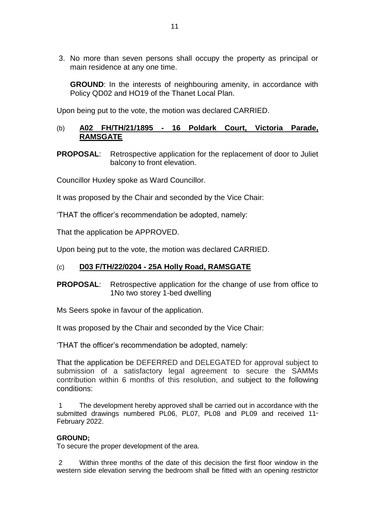3. No more than seven persons shall occupy the property as principal or main residence at any one time.

**GROUND:** In the interests of neighbouring amenity, in accordance with Policy QD02 and HO19 of the Thanet Local Plan.

Upon being put to the vote, the motion was declared CARRIED.

# (b) **A02 FH/TH/21/1895 - 16 Poldark Court, Victoria Parade, RAMSGATE**

**PROPOSAL:** Retrospective application for the replacement of door to Juliet balcony to front elevation.

Councillor Huxley spoke as Ward Councillor.

It was proposed by the Chair and seconded by the Vice Chair:

'THAT the officer's recommendation be adopted, namely:

That the application be APPROVED.

Upon being put to the vote, the motion was declared CARRIED.

## (c) **D03 F/TH/22/0204 - 25A Holly Road, RAMSGATE**

## **PROPOSAL**: Retrospective application for the change of use from office to 1No two storey 1-bed dwelling

Ms Seers spoke in favour of the application.

It was proposed by the Chair and seconded by the Vice Chair:

'THAT the officer's recommendation be adopted, namely:

That the application be DEFERRED and DELEGATED for approval subject to submission of a satisfactory legal agreement to secure the SAMMs contribution within 6 months of this resolution, and subject to the following conditions:

1 The development hereby approved shall be carried out in accordance with the submitted drawings numbered PL06, PL07, PL08 and PL09 and received 11<sup>th</sup> February 2022.

### **GROUND;**

To secure the proper development of the area.

2 Within three months of the date of this decision the first floor window in the western side elevation serving the bedroom shall be fitted with an opening restrictor